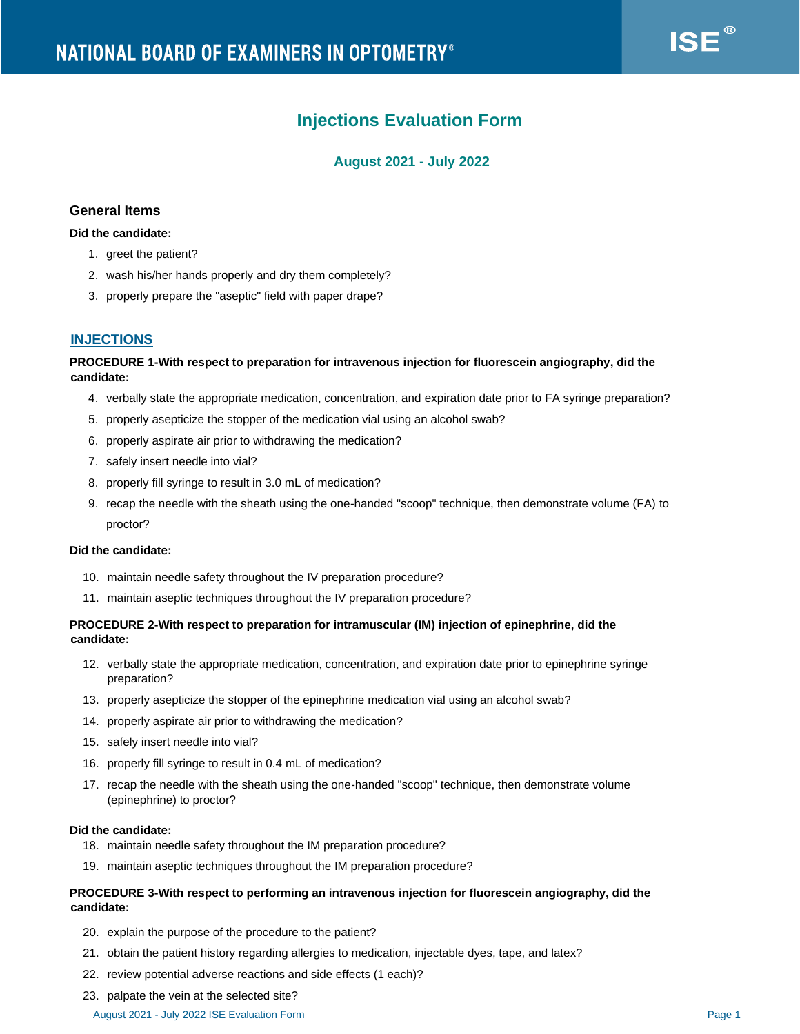# **Injections Evaluation Form**

# **August 2021 - July 2022**

# **General Items**

#### **Did the candidate:**

- 1. greet the patient?
- 2. wash his/her hands properly and dry them completely?
- 3. properly prepare the "aseptic" field with paper drape?

# **INJECTIONS**

## **PROCEDURE 1-With respect to preparation for intravenous injection for fluorescein angiography, did the candidate:**

- 4. verbally state the appropriate medication, concentration, and expiration date prior to FA syringe preparation?
- 5. properly asepticize the stopper of the medication vial using an alcohol swab?
- 6. properly aspirate air prior to withdrawing the medication?
- 7. safely insert needle into vial?
- 8. properly fill syringe to result in 3.0 mL of medication?
- 9. recap the needle with the sheath using the one-handed "scoop" technique, then demonstrate volume (FA) to proctor?

#### **Did the candidate:**

- 10. maintain needle safety throughout the IV preparation procedure?
- 11. maintain aseptic techniques throughout the IV preparation procedure?

## **PROCEDURE 2-With respect to preparation for intramuscular (IM) injection of epinephrine, did the candidate:**

- 12. verbally state the appropriate medication, concentration, and expiration date prior to epinephrine syringe preparation?
- 13. properly asepticize the stopper of the epinephrine medication vial using an alcohol swab?
- 14. properly aspirate air prior to withdrawing the medication?
- 15. safely insert needle into vial?
- 16. properly fill syringe to result in 0.4 mL of medication?
- 17. recap the needle with the sheath using the one-handed "scoop" technique, then demonstrate volume (epinephrine) to proctor?

#### **Did the candidate:**

- 18. maintain needle safety throughout the IM preparation procedure?
- 19. maintain aseptic techniques throughout the IM preparation procedure?

## **PROCEDURE 3-With respect to performing an intravenous injection for fluorescein angiography, did the candidate:**

- 20. explain the purpose of the procedure to the patient?
- 21. obtain the patient history regarding allergies to medication, injectable dyes, tape, and latex?
- 22. review potential adverse reactions and side effects (1 each)?
- 23. palpate the vein at the selected site?

#### August 2021 - July 2022 ISE Evaluation Form Page 1